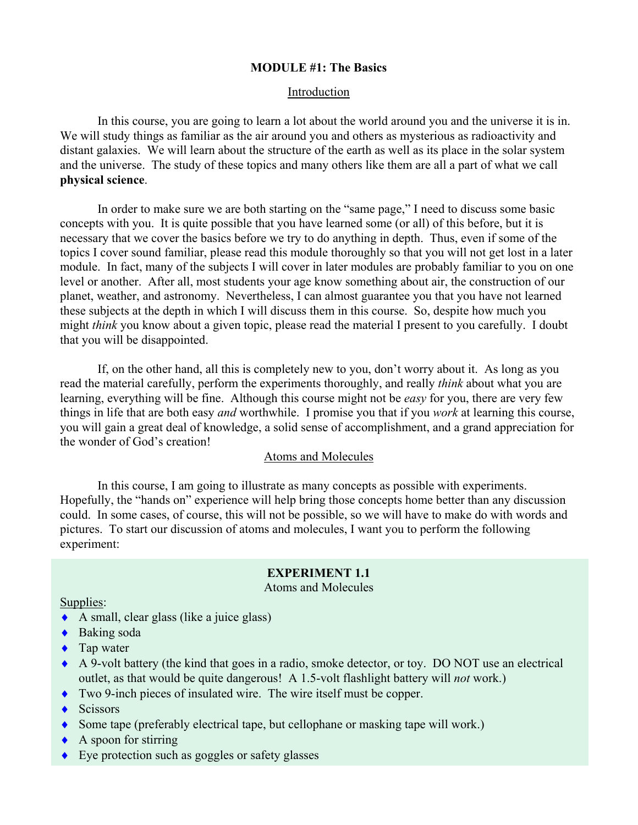#### **MODULE #1: The Basics**

## Introduction

 In this course, you are going to learn a lot about the world around you and the universe it is in. We will study things as familiar as the air around you and others as mysterious as radioactivity and distant galaxies. We will learn about the structure of the earth as well as its place in the solar system and the universe. The study of these topics and many others like them are all a part of what we call **physical science**.

 In order to make sure we are both starting on the "same page," I need to discuss some basic concepts with you. It is quite possible that you have learned some (or all) of this before, but it is necessary that we cover the basics before we try to do anything in depth. Thus, even if some of the topics I cover sound familiar, please read this module thoroughly so that you will not get lost in a later module. In fact, many of the subjects I will cover in later modules are probably familiar to you on one level or another. After all, most students your age know something about air, the construction of our planet, weather, and astronomy. Nevertheless, I can almost guarantee you that you have not learned these subjects at the depth in which I will discuss them in this course. So, despite how much you might *think* you know about a given topic, please read the material I present to you carefully. I doubt that you will be disappointed.

 If, on the other hand, all this is completely new to you, don't worry about it. As long as you read the material carefully, perform the experiments thoroughly, and really *think* about what you are learning, everything will be fine. Although this course might not be *easy* for you, there are very few things in life that are both easy *and* worthwhile. I promise you that if you *work* at learning this course, you will gain a great deal of knowledge, a solid sense of accomplishment, and a grand appreciation for the wonder of God's creation!

#### Atoms and Molecules

 In this course, I am going to illustrate as many concepts as possible with experiments. Hopefully, the "hands on" experience will help bring those concepts home better than any discussion could. In some cases, of course, this will not be possible, so we will have to make do with words and pictures. To start our discussion of atoms and molecules, I want you to perform the following experiment:

## **EXPERIMENT 1.1**

#### Atoms and Molecules

#### Supplies:

- $\triangle$  A small, clear glass (like a juice glass)
- ◆ Baking soda
- ◆ Tap water
- ♦ A 9-volt battery (the kind that goes in a radio, smoke detector, or toy. DO NOT use an electrical outlet, as that would be quite dangerous! A 1.5-volt flashlight battery will *not* work.)
- ♦ Two 9-inch pieces of insulated wire. The wire itself must be copper.
- ◆ Scissors
- ♦ Some tape (preferably electrical tape, but cellophane or masking tape will work.)
- $\triangle$  A spoon for stirring
- ♦ Eye protection such as goggles or safety glasses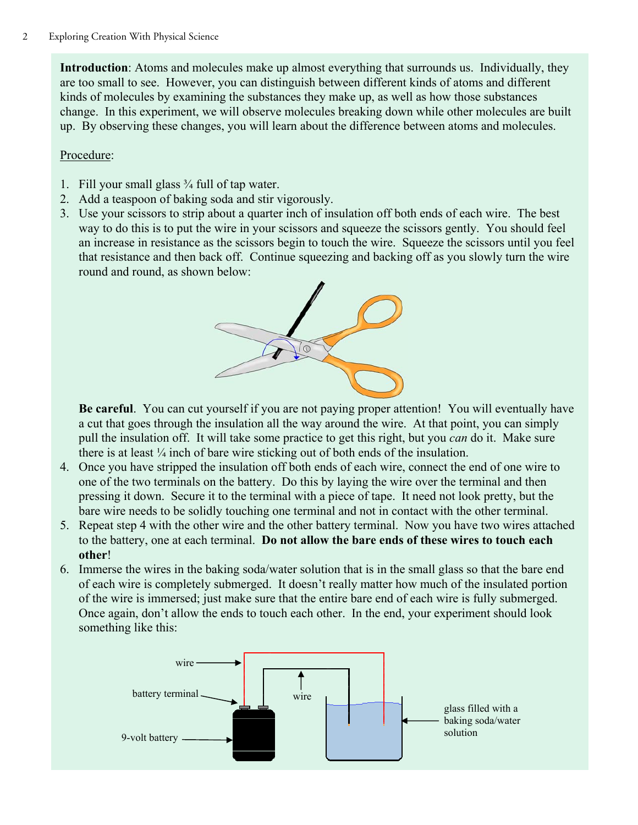**Introduction**: Atoms and molecules make up almost everything that surrounds us. Individually, they are too small to see. However, you can distinguish between different kinds of atoms and different kinds of molecules by examining the substances they make up, as well as how those substances change. In this experiment, we will observe molecules breaking down while other molecules are built up. By observing these changes, you will learn about the difference between atoms and molecules.

## Procedure:

- 1. Fill your small glass ¾ full of tap water.
- 2. Add a teaspoon of baking soda and stir vigorously.
- 3. Use your scissors to strip about a quarter inch of insulation off both ends of each wire. The best way to do this is to put the wire in your scissors and squeeze the scissors gently. You should feel an increase in resistance as the scissors begin to touch the wire. Squeeze the scissors until you feel that resistance and then back off. Continue squeezing and backing off as you slowly turn the wire round and round, as shown below:



**Be careful**. You can cut yourself if you are not paying proper attention! You will eventually have a cut that goes through the insulation all the way around the wire. At that point, you can simply pull the insulation off. It will take some practice to get this right, but you *can* do it. Make sure there is at least ¼ inch of bare wire sticking out of both ends of the insulation.

- 4. Once you have stripped the insulation off both ends of each wire, connect the end of one wire to one of the two terminals on the battery. Do this by laying the wire over the terminal and then pressing it down. Secure it to the terminal with a piece of tape. It need not look pretty, but the bare wire needs to be solidly touching one terminal and not in contact with the other terminal.
- 5. Repeat step 4 with the other wire and the other battery terminal. Now you have two wires attached to the battery, one at each terminal. **Do not allow the bare ends of these wires to touch each other**!
- 6. Immerse the wires in the baking soda/water solution that is in the small glass so that the bare end of each wire is completely submerged. It doesn't really matter how much of the insulated portion of the wire is immersed; just make sure that the entire bare end of each wire is fully submerged. Once again, don't allow the ends to touch each other. In the end, your experiment should look something like this:

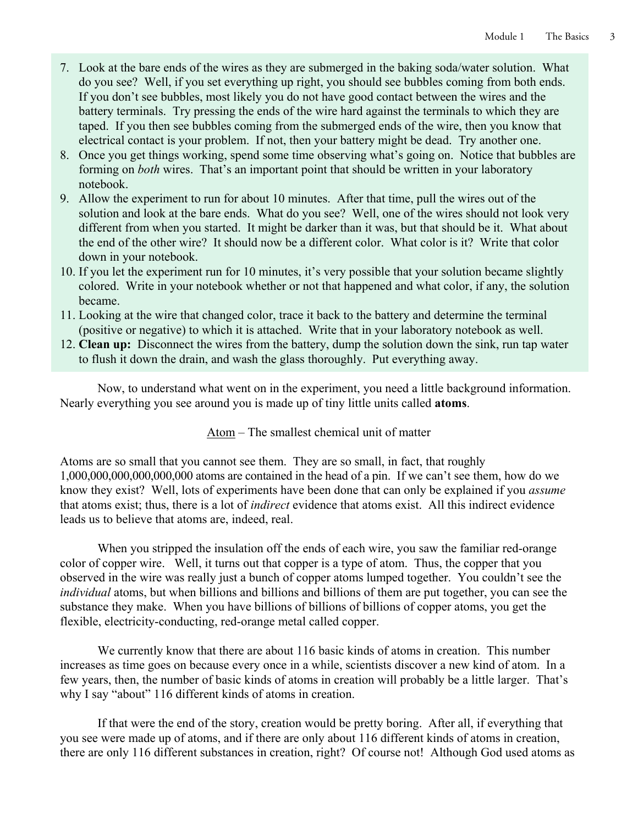- 7. Look at the bare ends of the wires as they are submerged in the baking soda/water solution. What do you see? Well, if you set everything up right, you should see bubbles coming from both ends. If you don't see bubbles, most likely you do not have good contact between the wires and the battery terminals. Try pressing the ends of the wire hard against the terminals to which they are taped. If you then see bubbles coming from the submerged ends of the wire, then you know that electrical contact is your problem. If not, then your battery might be dead. Try another one.
- 8. Once you get things working, spend some time observing what's going on. Notice that bubbles are forming on *both* wires. That's an important point that should be written in your laboratory notebook.
- 9. Allow the experiment to run for about 10 minutes. After that time, pull the wires out of the solution and look at the bare ends. What do you see? Well, one of the wires should not look very different from when you started. It might be darker than it was, but that should be it. What about the end of the other wire? It should now be a different color. What color is it? Write that color down in your notebook.
- 10. If you let the experiment run for 10 minutes, it's very possible that your solution became slightly colored. Write in your notebook whether or not that happened and what color, if any, the solution became.
- 11. Looking at the wire that changed color, trace it back to the battery and determine the terminal (positive or negative) to which it is attached. Write that in your laboratory notebook as well.
- 12. **Clean up:** Disconnect the wires from the battery, dump the solution down the sink, run tap water to flush it down the drain, and wash the glass thoroughly. Put everything away.

 Now, to understand what went on in the experiment, you need a little background information. Nearly everything you see around you is made up of tiny little units called **atoms**.

Atom – The smallest chemical unit of matter

Atoms are so small that you cannot see them. They are so small, in fact, that roughly 1,000,000,000,000,000,000 atoms are contained in the head of a pin. If we can't see them, how do we know they exist? Well, lots of experiments have been done that can only be explained if you *assume* that atoms exist; thus, there is a lot of *indirect* evidence that atoms exist. All this indirect evidence leads us to believe that atoms are, indeed, real.

 When you stripped the insulation off the ends of each wire, you saw the familiar red-orange color of copper wire. Well, it turns out that copper is a type of atom. Thus, the copper that you observed in the wire was really just a bunch of copper atoms lumped together. You couldn't see the *individual* atoms, but when billions and billions and billions of them are put together, you can see the substance they make. When you have billions of billions of billions of copper atoms, you get the flexible, electricity-conducting, red-orange metal called copper.

 We currently know that there are about 116 basic kinds of atoms in creation. This number increases as time goes on because every once in a while, scientists discover a new kind of atom. In a few years, then, the number of basic kinds of atoms in creation will probably be a little larger. That's why I say "about" 116 different kinds of atoms in creation.

 If that were the end of the story, creation would be pretty boring. After all, if everything that you see were made up of atoms, and if there are only about 116 different kinds of atoms in creation, there are only 116 different substances in creation, right? Of course not! Although God used atoms as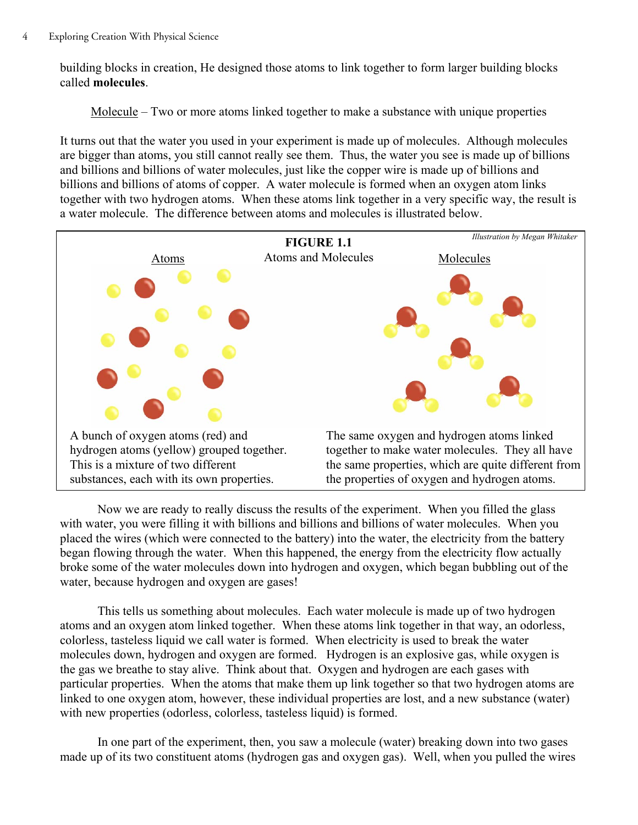building blocks in creation, He designed those atoms to link together to form larger building blocks called **molecules**.

Molecule – Two or more atoms linked together to make a substance with unique properties

It turns out that the water you used in your experiment is made up of molecules. Although molecules are bigger than atoms, you still cannot really see them. Thus, the water you see is made up of billions and billions and billions of water molecules, just like the copper wire is made up of billions and billions and billions of atoms of copper. A water molecule is formed when an oxygen atom links together with two hydrogen atoms. When these atoms link together in a very specific way, the result is a water molecule. The difference between atoms and molecules is illustrated below.



Now we are ready to really discuss the results of the experiment. When you filled the glass with water, you were filling it with billions and billions and billions of water molecules. When you placed the wires (which were connected to the battery) into the water, the electricity from the battery began flowing through the water. When this happened, the energy from the electricity flow actually broke some of the water molecules down into hydrogen and oxygen, which began bubbling out of the water, because hydrogen and oxygen are gases!

 This tells us something about molecules. Each water molecule is made up of two hydrogen atoms and an oxygen atom linked together. When these atoms link together in that way, an odorless, colorless, tasteless liquid we call water is formed. When electricity is used to break the water molecules down, hydrogen and oxygen are formed. Hydrogen is an explosive gas, while oxygen is the gas we breathe to stay alive. Think about that. Oxygen and hydrogen are each gases with particular properties. When the atoms that make them up link together so that two hydrogen atoms are linked to one oxygen atom, however, these individual properties are lost, and a new substance (water) with new properties (odorless, colorless, tasteless liquid) is formed.

 In one part of the experiment, then, you saw a molecule (water) breaking down into two gases made up of its two constituent atoms (hydrogen gas and oxygen gas). Well, when you pulled the wires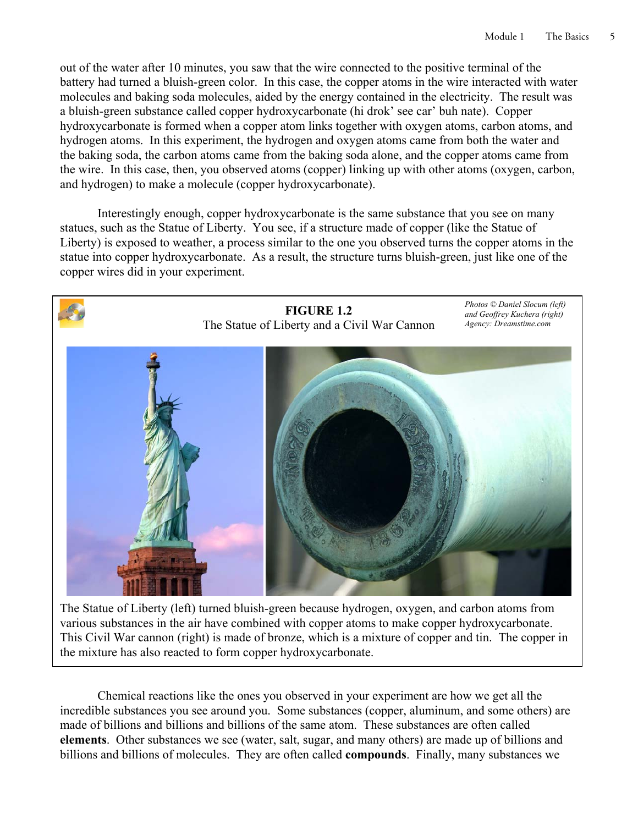out of the water after 10 minutes, you saw that the wire connected to the positive terminal of the battery had turned a bluish-green color. In this case, the copper atoms in the wire interacted with water molecules and baking soda molecules, aided by the energy contained in the electricity. The result was a bluish-green substance called copper hydroxycarbonate (hi drok' see car' buh nate). Copper hydroxycarbonate is formed when a copper atom links together with oxygen atoms, carbon atoms, and hydrogen atoms. In this experiment, the hydrogen and oxygen atoms came from both the water and the baking soda, the carbon atoms came from the baking soda alone, and the copper atoms came from the wire. In this case, then, you observed atoms (copper) linking up with other atoms (oxygen, carbon, and hydrogen) to make a molecule (copper hydroxycarbonate).

 Interestingly enough, copper hydroxycarbonate is the same substance that you see on many statues, such as the Statue of Liberty. You see, if a structure made of copper (like the Statue of Liberty) is exposed to weather, a process similar to the one you observed turns the copper atoms in the statue into copper hydroxycarbonate. As a result, the structure turns bluish-green, just like one of the copper wires did in your experiment.



The Statue of Liberty (left) turned bluish-green because hydrogen, oxygen, and carbon atoms from various substances in the air have combined with copper atoms to make copper hydroxycarbonate. This Civil War cannon (right) is made of bronze, which is a mixture of copper and tin. The copper in the mixture has also reacted to form copper hydroxycarbonate.

Chemical reactions like the ones you observed in your experiment are how we get all the incredible substances you see around you. Some substances (copper, aluminum, and some others) are made of billions and billions and billions of the same atom. These substances are often called **elements**. Other substances we see (water, salt, sugar, and many others) are made up of billions and billions and billions of molecules. They are often called **compounds**. Finally, many substances we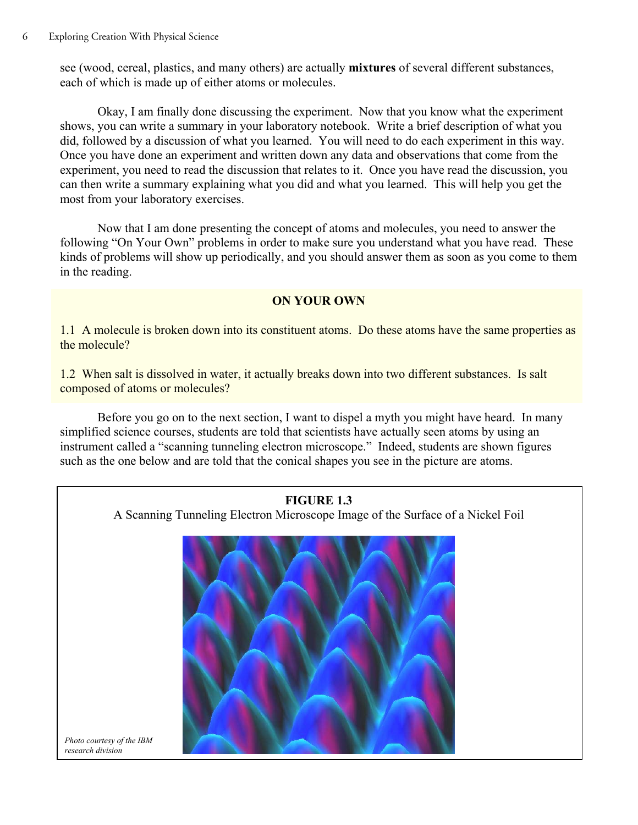*research division*

see (wood, cereal, plastics, and many others) are actually **mixtures** of several different substances, each of which is made up of either atoms or molecules.

 Okay, I am finally done discussing the experiment. Now that you know what the experiment shows, you can write a summary in your laboratory notebook. Write a brief description of what you did, followed by a discussion of what you learned. You will need to do each experiment in this way. Once you have done an experiment and written down any data and observations that come from the experiment, you need to read the discussion that relates to it. Once you have read the discussion, you can then write a summary explaining what you did and what you learned. This will help you get the most from your laboratory exercises.

 Now that I am done presenting the concept of atoms and molecules, you need to answer the following "On Your Own" problems in order to make sure you understand what you have read. These kinds of problems will show up periodically, and you should answer them as soon as you come to them in the reading.

# **ON YOUR OWN**

1.1 A molecule is broken down into its constituent atoms. Do these atoms have the same properties as the molecule?

1.2 When salt is dissolved in water, it actually breaks down into two different substances. Is salt composed of atoms or molecules?

 Before you go on to the next section, I want to dispel a myth you might have heard. In many simplified science courses, students are told that scientists have actually seen atoms by using an instrument called a "scanning tunneling electron microscope." Indeed, students are shown figures such as the one below and are told that the conical shapes you see in the picture are atoms.

# **FIGURE 1.3**

A Scanning Tunneling Electron Microscope Image of the Surface of a Nickel Foil

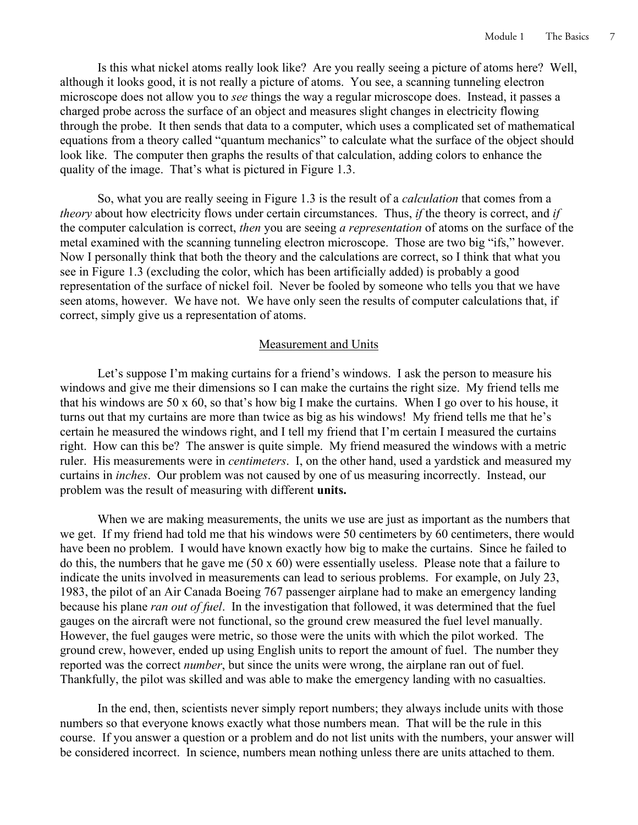Is this what nickel atoms really look like? Are you really seeing a picture of atoms here? Well, although it looks good, it is not really a picture of atoms. You see, a scanning tunneling electron microscope does not allow you to *see* things the way a regular microscope does. Instead, it passes a charged probe across the surface of an object and measures slight changes in electricity flowing through the probe. It then sends that data to a computer, which uses a complicated set of mathematical equations from a theory called "quantum mechanics" to calculate what the surface of the object should look like. The computer then graphs the results of that calculation, adding colors to enhance the quality of the image. That's what is pictured in Figure 1.3.

 So, what you are really seeing in Figure 1.3 is the result of a *calculation* that comes from a *theory* about how electricity flows under certain circumstances. Thus, *if* the theory is correct, and *if*  the computer calculation is correct, *then* you are seeing *a representation* of atoms on the surface of the metal examined with the scanning tunneling electron microscope. Those are two big "ifs," however. Now I personally think that both the theory and the calculations are correct, so I think that what you see in Figure 1.3 (excluding the color, which has been artificially added) is probably a good representation of the surface of nickel foil. Never be fooled by someone who tells you that we have seen atoms, however. We have not. We have only seen the results of computer calculations that, if correct, simply give us a representation of atoms.

#### Measurement and Units

 Let's suppose I'm making curtains for a friend's windows. I ask the person to measure his windows and give me their dimensions so I can make the curtains the right size. My friend tells me that his windows are 50 x 60, so that's how big I make the curtains. When I go over to his house, it turns out that my curtains are more than twice as big as his windows! My friend tells me that he's certain he measured the windows right, and I tell my friend that I'm certain I measured the curtains right. How can this be? The answer is quite simple. My friend measured the windows with a metric ruler. His measurements were in *centimeters*. I, on the other hand, used a yardstick and measured my curtains in *inches*. Our problem was not caused by one of us measuring incorrectly. Instead, our problem was the result of measuring with different **units.**

 When we are making measurements, the units we use are just as important as the numbers that we get. If my friend had told me that his windows were 50 centimeters by 60 centimeters, there would have been no problem. I would have known exactly how big to make the curtains. Since he failed to do this, the numbers that he gave me (50 x 60) were essentially useless. Please note that a failure to indicate the units involved in measurements can lead to serious problems. For example, on July 23, 1983, the pilot of an Air Canada Boeing 767 passenger airplane had to make an emergency landing because his plane *ran out of fuel*. In the investigation that followed, it was determined that the fuel gauges on the aircraft were not functional, so the ground crew measured the fuel level manually. However, the fuel gauges were metric, so those were the units with which the pilot worked. The ground crew, however, ended up using English units to report the amount of fuel. The number they reported was the correct *number*, but since the units were wrong, the airplane ran out of fuel. Thankfully, the pilot was skilled and was able to make the emergency landing with no casualties.

In the end, then, scientists never simply report numbers; they always include units with those numbers so that everyone knows exactly what those numbers mean. That will be the rule in this course. If you answer a question or a problem and do not list units with the numbers, your answer will be considered incorrect. In science, numbers mean nothing unless there are units attached to them.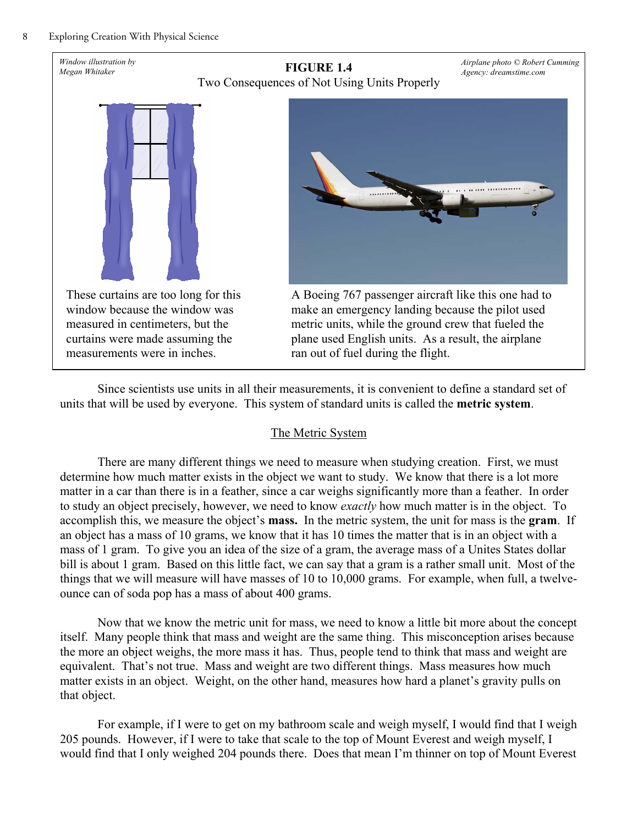

 Since scientists use units in all their measurements, it is convenient to define a standard set of units that will be used by everyone. This system of standard units is called the **metric system**.

## The Metric System

 There are many different things we need to measure when studying creation. First, we must determine how much matter exists in the object we want to study. We know that there is a lot more matter in a car than there is in a feather, since a car weighs significantly more than a feather. In order to study an object precisely, however, we need to know *exactly* how much matter is in the object. To accomplish this, we measure the object's **mass.** In the metric system, the unit for mass is the **gram**. If an object has a mass of 10 grams, we know that it has 10 times the matter that is in an object with a mass of 1 gram. To give you an idea of the size of a gram, the average mass of a Unites States dollar bill is about 1 gram. Based on this little fact, we can say that a gram is a rather small unit. Most of the things that we will measure will have masses of 10 to 10,000 grams. For example, when full, a twelveounce can of soda pop has a mass of about 400 grams.

 Now that we know the metric unit for mass, we need to know a little bit more about the concept itself. Many people think that mass and weight are the same thing. This misconception arises because the more an object weighs, the more mass it has. Thus, people tend to think that mass and weight are equivalent. That's not true. Mass and weight are two different things. Mass measures how much matter exists in an object. Weight, on the other hand, measures how hard a planet's gravity pulls on that object.

 For example, if I were to get on my bathroom scale and weigh myself, I would find that I weigh 205 pounds. However, if I were to take that scale to the top of Mount Everest and weigh myself, I would find that I only weighed 204 pounds there. Does that mean I'm thinner on top of Mount Everest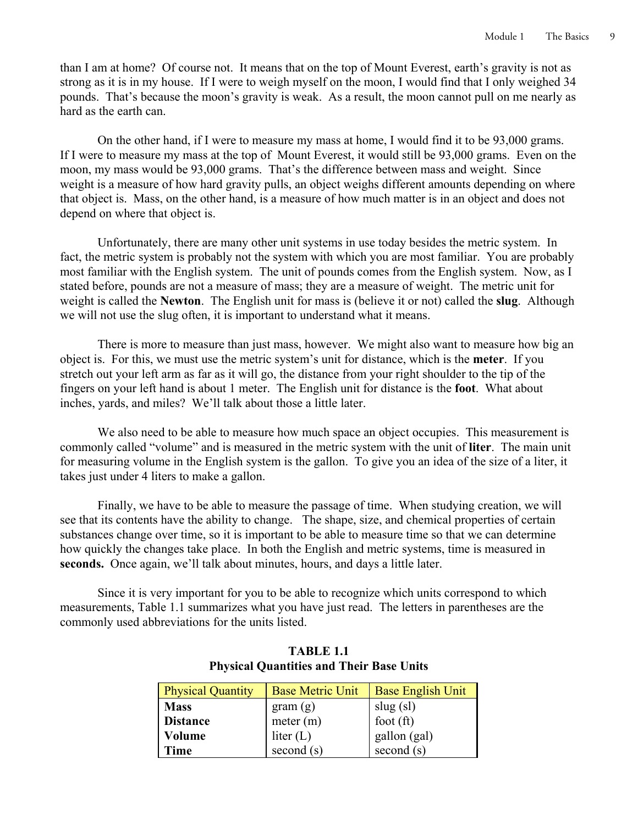than I am at home? Of course not. It means that on the top of Mount Everest, earth's gravity is not as strong as it is in my house. If I were to weigh myself on the moon, I would find that I only weighed 34 pounds. That's because the moon's gravity is weak. As a result, the moon cannot pull on me nearly as hard as the earth can.

 On the other hand, if I were to measure my mass at home, I would find it to be 93,000 grams. If I were to measure my mass at the top of Mount Everest, it would still be 93,000 grams. Even on the moon, my mass would be 93,000 grams. That's the difference between mass and weight. Since weight is a measure of how hard gravity pulls, an object weighs different amounts depending on where that object is. Mass, on the other hand, is a measure of how much matter is in an object and does not depend on where that object is.

 Unfortunately, there are many other unit systems in use today besides the metric system. In fact, the metric system is probably not the system with which you are most familiar. You are probably most familiar with the English system. The unit of pounds comes from the English system. Now, as I stated before, pounds are not a measure of mass; they are a measure of weight. The metric unit for weight is called the **Newton**. The English unit for mass is (believe it or not) called the **slug**. Although we will not use the slug often, it is important to understand what it means.

 There is more to measure than just mass, however. We might also want to measure how big an object is. For this, we must use the metric system's unit for distance, which is the **meter**. If you stretch out your left arm as far as it will go, the distance from your right shoulder to the tip of the fingers on your left hand is about 1 meter. The English unit for distance is the **foot**. What about inches, yards, and miles? We'll talk about those a little later.

We also need to be able to measure how much space an object occupies. This measurement is commonly called "volume" and is measured in the metric system with the unit of **liter**. The main unit for measuring volume in the English system is the gallon. To give you an idea of the size of a liter, it takes just under 4 liters to make a gallon.

 Finally, we have to be able to measure the passage of time. When studying creation, we will see that its contents have the ability to change. The shape, size, and chemical properties of certain substances change over time, so it is important to be able to measure time so that we can determine how quickly the changes take place. In both the English and metric systems, time is measured in **seconds.** Once again, we'll talk about minutes, hours, and days a little later.

 Since it is very important for you to be able to recognize which units correspond to which measurements, Table 1.1 summarizes what you have just read. The letters in parentheses are the commonly used abbreviations for the units listed.

| <b>Physical Quantity</b> | <b>Base Metric Unit</b> | <b>Base English Unit</b> |
|--------------------------|-------------------------|--------------------------|
| <b>Mass</b>              | gram(g)                 |                          |
| <b>Distance</b>          | meter (m)               | slug (sl)<br>foot (ft)   |
| Volume                   | liter $(L)$             | gallon (gal)             |
| <b>Time</b>              | second $(s)$            | second $(s)$             |

## **TABLE 1.1 Physical Quantities and Their Base Units**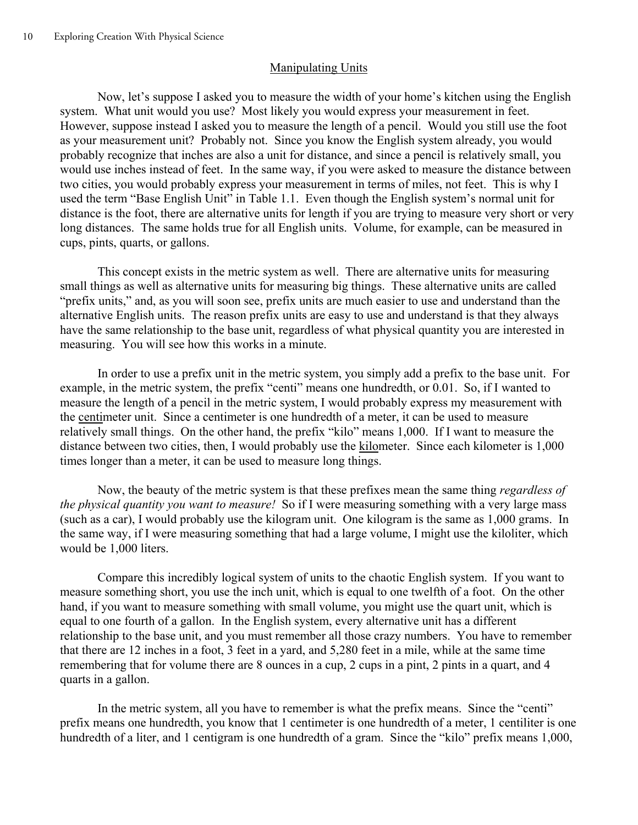#### Manipulating Units

 Now, let's suppose I asked you to measure the width of your home's kitchen using the English system. What unit would you use? Most likely you would express your measurement in feet. However, suppose instead I asked you to measure the length of a pencil. Would you still use the foot as your measurement unit? Probably not. Since you know the English system already, you would probably recognize that inches are also a unit for distance, and since a pencil is relatively small, you would use inches instead of feet. In the same way, if you were asked to measure the distance between two cities, you would probably express your measurement in terms of miles, not feet. This is why I used the term "Base English Unit" in Table 1.1. Even though the English system's normal unit for distance is the foot, there are alternative units for length if you are trying to measure very short or very long distances. The same holds true for all English units. Volume, for example, can be measured in cups, pints, quarts, or gallons.

 This concept exists in the metric system as well. There are alternative units for measuring small things as well as alternative units for measuring big things. These alternative units are called "prefix units," and, as you will soon see, prefix units are much easier to use and understand than the alternative English units. The reason prefix units are easy to use and understand is that they always have the same relationship to the base unit, regardless of what physical quantity you are interested in measuring. You will see how this works in a minute.

 In order to use a prefix unit in the metric system, you simply add a prefix to the base unit. For example, in the metric system, the prefix "centi" means one hundredth, or 0.01. So, if I wanted to measure the length of a pencil in the metric system, I would probably express my measurement with the centimeter unit. Since a centimeter is one hundredth of a meter, it can be used to measure relatively small things. On the other hand, the prefix "kilo" means 1,000. If I want to measure the distance between two cities, then, I would probably use the kilometer. Since each kilometer is 1,000 times longer than a meter, it can be used to measure long things.

 Now, the beauty of the metric system is that these prefixes mean the same thing *regardless of the physical quantity you want to measure!* So if I were measuring something with a very large mass (such as a car), I would probably use the kilogram unit. One kilogram is the same as 1,000 grams. In the same way, if I were measuring something that had a large volume, I might use the kiloliter, which would be 1,000 liters.

 Compare this incredibly logical system of units to the chaotic English system. If you want to measure something short, you use the inch unit, which is equal to one twelfth of a foot. On the other hand, if you want to measure something with small volume, you might use the quart unit, which is equal to one fourth of a gallon. In the English system, every alternative unit has a different relationship to the base unit, and you must remember all those crazy numbers. You have to remember that there are 12 inches in a foot, 3 feet in a yard, and 5,280 feet in a mile, while at the same time remembering that for volume there are 8 ounces in a cup, 2 cups in a pint, 2 pints in a quart, and 4 quarts in a gallon.

In the metric system, all you have to remember is what the prefix means. Since the "centi" prefix means one hundredth, you know that 1 centimeter is one hundredth of a meter, 1 centiliter is one hundredth of a liter, and 1 centigram is one hundredth of a gram. Since the "kilo" prefix means 1,000,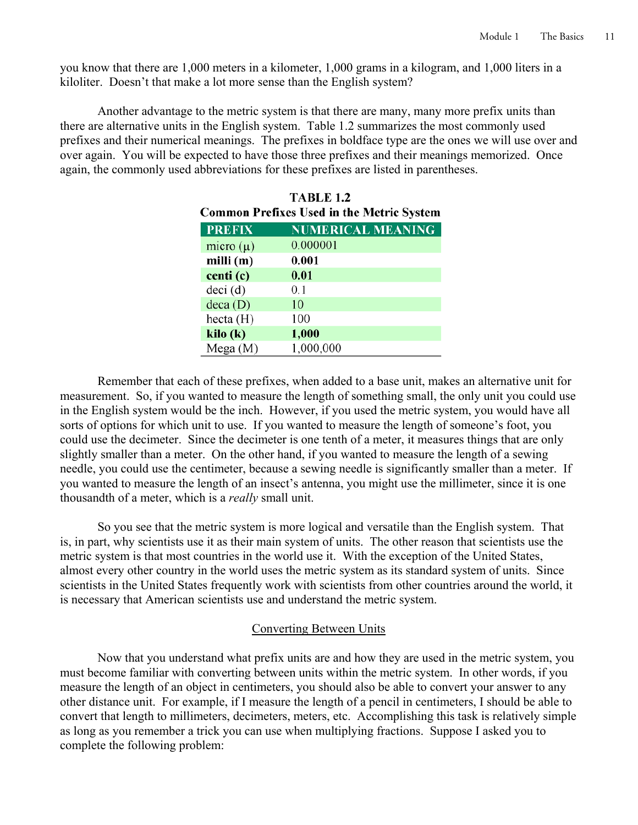you know that there are 1,000 meters in a kilometer, 1,000 grams in a kilogram, and 1,000 liters in a kiloliter. Doesn't that make a lot more sense than the English system?

 Another advantage to the metric system is that there are many, many more prefix units than there are alternative units in the English system. Table 1.2 summarizes the most commonly used prefixes and their numerical meanings. The prefixes in boldface type are the ones we will use over and over again. You will be expected to have those three prefixes and their meanings memorized. Once again, the commonly used abbreviations for these prefixes are listed in parentheses.

| <b>TABLE 1.2</b><br><b>Common Prefixes Used in the Metric System</b> |                          |  |
|----------------------------------------------------------------------|--------------------------|--|
| <b>PREFIX</b>                                                        | <b>NUMERICAL MEANING</b> |  |
| micro $(\mu)$                                                        | 0.000001                 |  |
| milli (m)                                                            | 0.001                    |  |
| centi (c)                                                            | 0.01                     |  |
| deci(d)                                                              | 0.1                      |  |
| deca(D)                                                              | 10                       |  |
| hecta $(H)$                                                          | 100                      |  |
| kilo (k)                                                             | 1,000                    |  |
| Mega (M)                                                             | 1,000,000                |  |

 Remember that each of these prefixes, when added to a base unit, makes an alternative unit for measurement. So, if you wanted to measure the length of something small, the only unit you could use in the English system would be the inch. However, if you used the metric system, you would have all sorts of options for which unit to use. If you wanted to measure the length of someone's foot, you could use the decimeter. Since the decimeter is one tenth of a meter, it measures things that are only slightly smaller than a meter. On the other hand, if you wanted to measure the length of a sewing needle, you could use the centimeter, because a sewing needle is significantly smaller than a meter. If you wanted to measure the length of an insect's antenna, you might use the millimeter, since it is one thousandth of a meter, which is a *really* small unit.

 So you see that the metric system is more logical and versatile than the English system. That is, in part, why scientists use it as their main system of units. The other reason that scientists use the metric system is that most countries in the world use it. With the exception of the United States, almost every other country in the world uses the metric system as its standard system of units. Since scientists in the United States frequently work with scientists from other countries around the world, it is necessary that American scientists use and understand the metric system.

## Converting Between Units

 Now that you understand what prefix units are and how they are used in the metric system, you must become familiar with converting between units within the metric system. In other words, if you measure the length of an object in centimeters, you should also be able to convert your answer to any other distance unit. For example, if I measure the length of a pencil in centimeters, I should be able to convert that length to millimeters, decimeters, meters, etc. Accomplishing this task is relatively simple as long as you remember a trick you can use when multiplying fractions. Suppose I asked you to complete the following problem: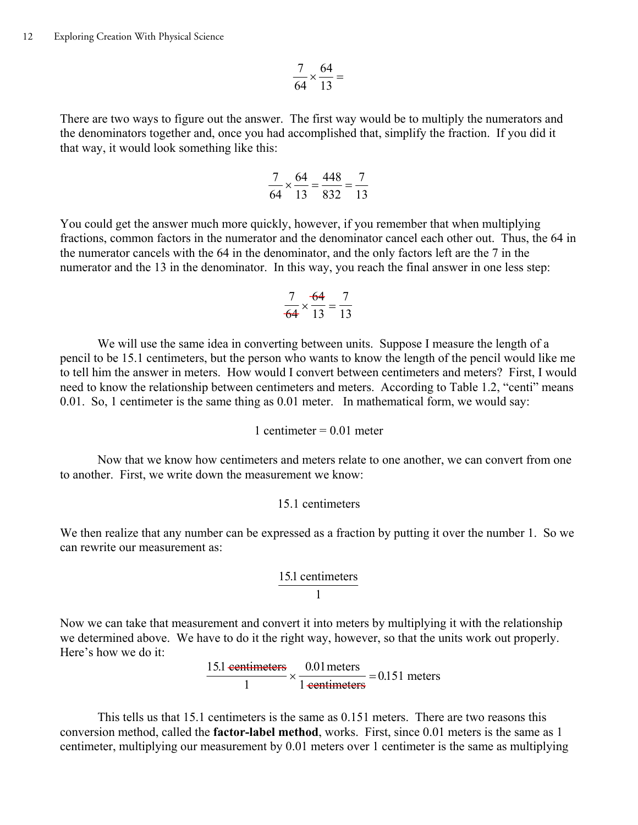$$
\frac{7}{64} \times \frac{64}{13} =
$$

There are two ways to figure out the answer. The first way would be to multiply the numerators and the denominators together and, once you had accomplished that, simplify the fraction. If you did it that way, it would look something like this:

$$
\frac{7}{64} \times \frac{64}{13} = \frac{448}{832} = \frac{7}{13}
$$

You could get the answer much more quickly, however, if you remember that when multiplying fractions, common factors in the numerator and the denominator cancel each other out. Thus, the 64 in the numerator cancels with the 64 in the denominator, and the only factors left are the 7 in the numerator and the 13 in the denominator. In this way, you reach the final answer in one less step:

$$
\frac{7}{64} \times \frac{64}{13} = \frac{7}{13}
$$

 We will use the same idea in converting between units. Suppose I measure the length of a pencil to be 15.1 centimeters, but the person who wants to know the length of the pencil would like me to tell him the answer in meters. How would I convert between centimeters and meters? First, I would need to know the relationship between centimeters and meters. According to Table 1.2, "centi" means 0.01. So, 1 centimeter is the same thing as 0.01 meter. In mathematical form, we would say:

#### 1 centimeter  $= 0.01$  meter

 Now that we know how centimeters and meters relate to one another, we can convert from one to another. First, we write down the measurement we know:

#### 15.1 centimeters

We then realize that any number can be expressed as a fraction by putting it over the number 1. So we can rewrite our measurement as:

## 151 . centimeters 1

Now we can take that measurement and convert it into meters by multiplying it with the relationship we determined above. We have to do it the right way, however, so that the units work out properly. Here's how we do it:

$$
\frac{15.1 \text{ centimeters}}{1} \times \frac{0.01 \text{ meters}}{1 \text{ centimeters}} = 0.151 \text{ meters}
$$

 This tells us that 15.1 centimeters is the same as 0.151 meters. There are two reasons this conversion method, called the **factor-label method**, works. First, since 0.01 meters is the same as 1 centimeter, multiplying our measurement by 0.01 meters over 1 centimeter is the same as multiplying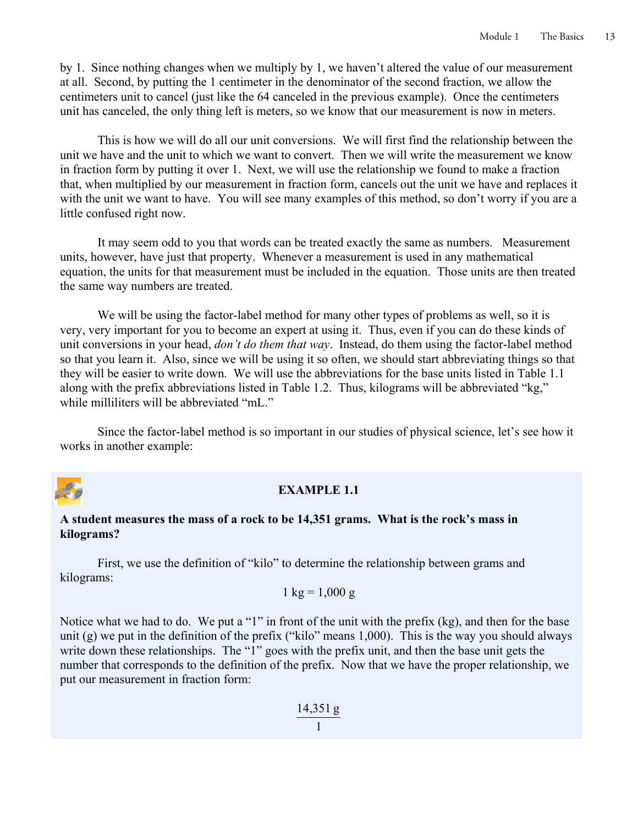by 1. Since nothing changes when we multiply by 1, we haven't altered the value of our measurement at all. Second, by putting the 1 centimeter in the denominator of the second fraction, we allow the centimeters unit to cancel (just like the 64 canceled in the previous example). Once the centimeters unit has canceled, the only thing left is meters, so we know that our measurement is now in meters.

 This is how we will do all our unit conversions. We will first find the relationship between the unit we have and the unit to which we want to convert. Then we will write the measurement we know in fraction form by putting it over 1. Next, we will use the relationship we found to make a fraction that, when multiplied by our measurement in fraction form, cancels out the unit we have and replaces it with the unit we want to have. You will see many examples of this method, so don't worry if you are a little confused right now.

 It may seem odd to you that words can be treated exactly the same as numbers. Measurement units, however, have just that property. Whenever a measurement is used in any mathematical equation, the units for that measurement must be included in the equation. Those units are then treated the same way numbers are treated.

 We will be using the factor-label method for many other types of problems as well, so it is very, very important for you to become an expert at using it. Thus, even if you can do these kinds of unit conversions in your head, *don't do them that way*. Instead, do them using the factor-label method so that you learn it. Also, since we will be using it so often, we should start abbreviating things so that they will be easier to write down. We will use the abbreviations for the base units listed in Table 1.1 along with the prefix abbreviations listed in Table 1.2. Thus, kilograms will be abbreviated "kg," while milliliters will be abbreviated "mL."

 Since the factor-label method is so important in our studies of physical science, let's see how it works in another example:

# **EXAMPLE 1.1**

## **A student measures the mass of a rock to be 14,351 grams. What is the rock's mass in kilograms?**

 First, we use the definition of "kilo" to determine the relationship between grams and kilograms:

$$
1 \text{ kg} = 1,000 \text{ g}
$$

Notice what we had to do. We put a "1" in front of the unit with the prefix (kg), and then for the base unit (g) we put in the definition of the prefix ("kilo" means 1,000). This is the way you should always write down these relationships. The "1" goes with the prefix unit, and then the base unit gets the number that corresponds to the definition of the prefix. Now that we have the proper relationship, we put our measurement in fraction form:

> 14 351 1  $,351g$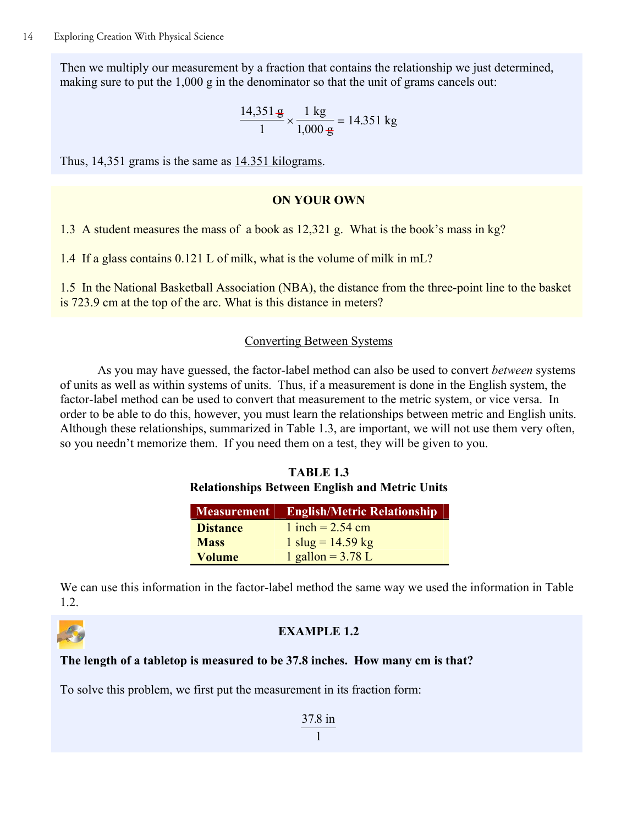Then we multiply our measurement by a fraction that contains the relationship we just determined, making sure to put the 1,000 g in the denominator so that the unit of grams cancels out:

$$
\frac{14,351 \text{ g}}{1} \times \frac{1 \text{ kg}}{1,000 \text{ g}} = 14.351 \text{ kg}
$$

Thus, 14,351 grams is the same as 14.351 kilograms.

#### **ON YOUR OWN**

1.3 A student measures the mass of a book as 12,321 g. What is the book's mass in kg?

1.4 If a glass contains 0.121 L of milk, what is the volume of milk in mL?

1.5 In the National Basketball Association (NBA), the distance from the three-point line to the basket is 723.9 cm at the top of the arc. What is this distance in meters?

#### Converting Between Systems

 As you may have guessed, the factor-label method can also be used to convert *between* systems of units as well as within systems of units. Thus, if a measurement is done in the English system, the factor-label method can be used to convert that measurement to the metric system, or vice versa. In order to be able to do this, however, you must learn the relationships between metric and English units. Although these relationships, summarized in Table 1.3, are important, we will not use them very often, so you needn't memorize them. If you need them on a test, they will be given to you.

#### **TABLE 1.3 Relationships Between English and Metric Units**

| Measurement     | <b>English/Metric Relationship</b> |
|-----------------|------------------------------------|
| <b>Distance</b> | $1$ inch = 2.54 cm                 |
| <b>Mass</b>     | 1 slug = $14.59$ kg                |
| <b>Volume</b>   | 1 gallon = $3.78$ L                |

We can use this information in the factor-label method the same way we used the information in Table 1.2.



## **EXAMPLE 1.2**

#### **The length of a tabletop is measured to be 37.8 inches. How many cm is that?**

To solve this problem, we first put the measurement in its fraction form:

37 8  $.8$  in

1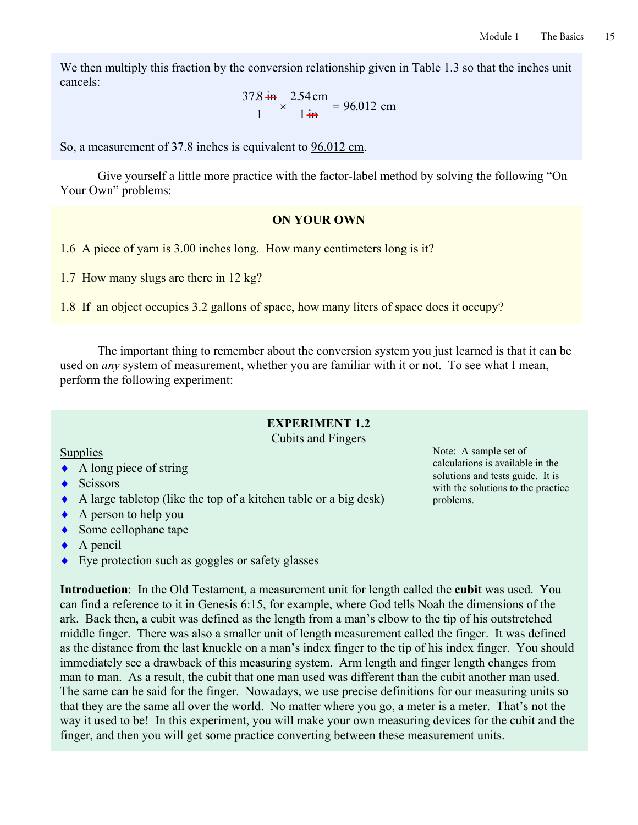We then multiply this fraction by the conversion relationship given in Table 1.3 so that the inches unit cancels:

$$
\frac{37.8 \text{ in}}{1} \times \frac{2.54 \text{ cm}}{1 \text{ in}} = 96.012 \text{ cm}
$$

So, a measurement of 37.8 inches is equivalent to 96.012 cm.

 Give yourself a little more practice with the factor-label method by solving the following "On Your Own" problems:

## **ON YOUR OWN**

1.6 A piece of yarn is 3.00 inches long. How many centimeters long is it?

1.7 How many slugs are there in 12 kg?

1.8 If an object occupies 3.2 gallons of space, how many liters of space does it occupy?

 The important thing to remember about the conversion system you just learned is that it can be used on *any* system of measurement, whether you are familiar with it or not. To see what I mean, perform the following experiment:

## **EXPERIMENT 1.2**

Cubits and Fingers

## **Supplies**

- $\triangle$  A long piece of string
- $\triangle$  Scissors
- $\triangle$  A large tabletop (like the top of a kitchen table or a big desk)
- ♦ A person to help you
- $\bullet$  Some cellophane tape
- $\triangle$  A pencil
- ♦ Eye protection such as goggles or safety glasses

Note: A sample set of calculations is available in the solutions and tests guide. It is with the solutions to the practice problems.

**Introduction**: In the Old Testament, a measurement unit for length called the **cubit** was used. You can find a reference to it in Genesis 6:15, for example, where God tells Noah the dimensions of the ark. Back then, a cubit was defined as the length from a man's elbow to the tip of his outstretched middle finger. There was also a smaller unit of length measurement called the finger. It was defined as the distance from the last knuckle on a man's index finger to the tip of his index finger. You should immediately see a drawback of this measuring system. Arm length and finger length changes from man to man. As a result, the cubit that one man used was different than the cubit another man used. The same can be said for the finger. Nowadays, we use precise definitions for our measuring units so that they are the same all over the world. No matter where you go, a meter is a meter. That's not the way it used to be! In this experiment, you will make your own measuring devices for the cubit and the finger, and then you will get some practice converting between these measurement units.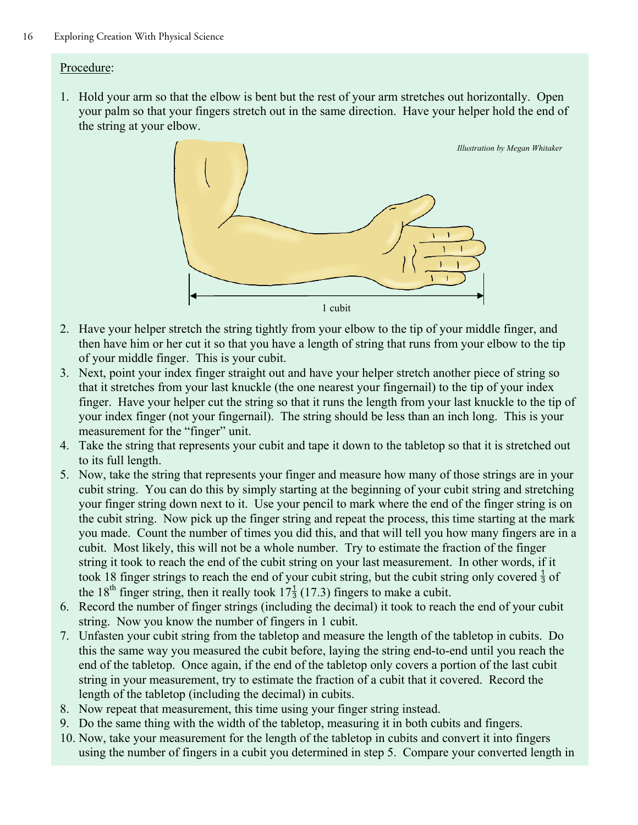## Procedure:

1. Hold your arm so that the elbow is bent but the rest of your arm stretches out horizontally. Open your palm so that your fingers stretch out in the same direction. Have your helper hold the end of the string at your elbow.



- 2. Have your helper stretch the string tightly from your elbow to the tip of your middle finger, and then have him or her cut it so that you have a length of string that runs from your elbow to the tip of your middle finger. This is your cubit.
- 3. Next, point your index finger straight out and have your helper stretch another piece of string so that it stretches from your last knuckle (the one nearest your fingernail) to the tip of your index finger. Have your helper cut the string so that it runs the length from your last knuckle to the tip of your index finger (not your fingernail). The string should be less than an inch long. This is your measurement for the "finger" unit.
- 4. Take the string that represents your cubit and tape it down to the tabletop so that it is stretched out to its full length.
- 5. Now, take the string that represents your finger and measure how many of those strings are in your cubit string. You can do this by simply starting at the beginning of your cubit string and stretching your finger string down next to it. Use your pencil to mark where the end of the finger string is on the cubit string. Now pick up the finger string and repeat the process, this time starting at the mark you made. Count the number of times you did this, and that will tell you how many fingers are in a cubit. Most likely, this will not be a whole number. Try to estimate the fraction of the finger string it took to reach the end of the cubit string on your last measurement. In other words, if it took 18 finger strings to reach the end of your cubit string, but the cubit string only covered  $\frac{1}{3}$  of the 18<sup>th</sup> finger string, then it really took  $17\frac{1}{3}$  (17.3) fingers to make a cubit.
- 6. Record the number of finger strings (including the decimal) it took to reach the end of your cubit string. Now you know the number of fingers in 1 cubit.
- 7. Unfasten your cubit string from the tabletop and measure the length of the tabletop in cubits. Do this the same way you measured the cubit before, laying the string end-to-end until you reach the end of the tabletop. Once again, if the end of the tabletop only covers a portion of the last cubit string in your measurement, try to estimate the fraction of a cubit that it covered. Record the length of the tabletop (including the decimal) in cubits.
- 8. Now repeat that measurement, this time using your finger string instead.
- 9. Do the same thing with the width of the tabletop, measuring it in both cubits and fingers.
- 10. Now, take your measurement for the length of the tabletop in cubits and convert it into fingers using the number of fingers in a cubit you determined in step 5. Compare your converted length in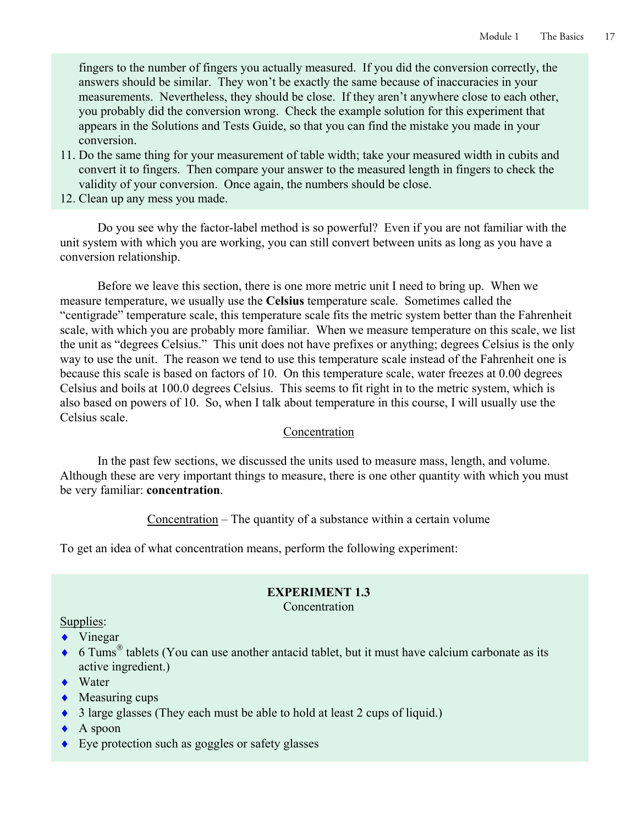fingers to the number of fingers you actually measured. If you did the conversion correctly, the answers should be similar. They won't be exactly the same because of inaccuracies in your measurements. Nevertheless, they should be close. If they aren't anywhere close to each other, you probably did the conversion wrong. Check the example solution for this experiment that appears in the Solutions and Tests Guide, so that you can find the mistake you made in your conversion.

- 11. Do the same thing for your measurement of table width; take your measured width in cubits and convert it to fingers. Then compare your answer to the measured length in fingers to check the validity of your conversion. Once again, the numbers should be close.
- 12. Clean up any mess you made.

 Do you see why the factor-label method is so powerful? Even if you are not familiar with the unit system with which you are working, you can still convert between units as long as you have a conversion relationship.

 Before we leave this section, there is one more metric unit I need to bring up. When we measure temperature, we usually use the **Celsius** temperature scale. Sometimes called the "centigrade" temperature scale, this temperature scale fits the metric system better than the Fahrenheit scale, with which you are probably more familiar. When we measure temperature on this scale, we list the unit as "degrees Celsius." This unit does not have prefixes or anything; degrees Celsius is the only way to use the unit. The reason we tend to use this temperature scale instead of the Fahrenheit one is because this scale is based on factors of 10. On this temperature scale, water freezes at 0.00 degrees Celsius and boils at 100.0 degrees Celsius. This seems to fit right in to the metric system, which is also based on powers of 10. So, when I talk about temperature in this course, I will usually use the Celsius scale.

## Concentration

 In the past few sections, we discussed the units used to measure mass, length, and volume. Although these are very important things to measure, there is one other quantity with which you must be very familiar: **concentration**.

Concentration – The quantity of a substance within a certain volume

To get an idea of what concentration means, perform the following experiment:

# **EXPERIMENT 1.3**

Concentration

# Supplies:

- ◆ Vinegar
- $\bullet$  6 Tums<sup>®</sup> tablets (You can use another antacid tablet, but it must have calcium carbonate as its active ingredient.)
- ◆ Water
- $\triangle$  Measuring cups
- ♦ 3 large glasses (They each must be able to hold at least 2 cups of liquid.)
- $\triangle$  A spoon
- ♦ Eye protection such as goggles or safety glasses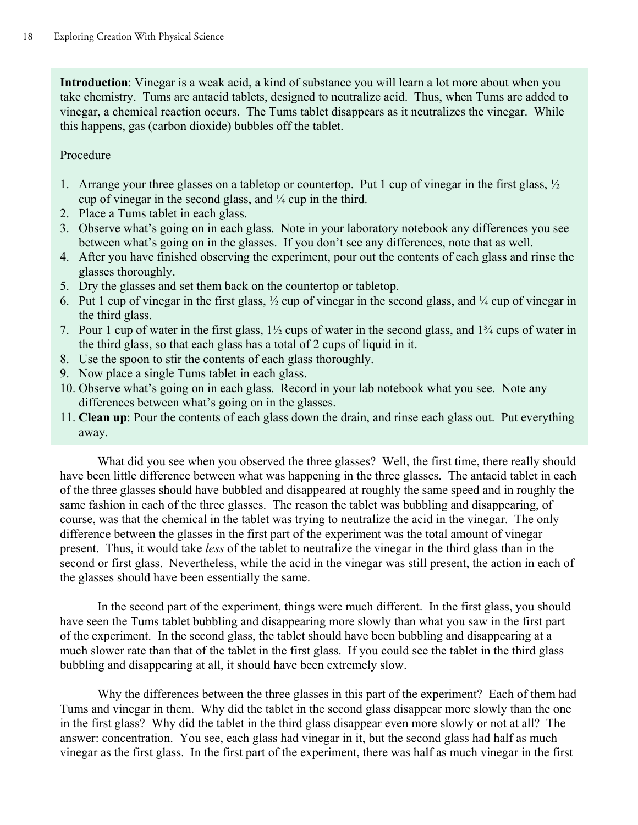**Introduction**: Vinegar is a weak acid, a kind of substance you will learn a lot more about when you take chemistry. Tums are antacid tablets, designed to neutralize acid. Thus, when Tums are added to vinegar, a chemical reaction occurs. The Tums tablet disappears as it neutralizes the vinegar. While this happens, gas (carbon dioxide) bubbles off the tablet.

## Procedure

- 1. Arrange your three glasses on a tabletop or countertop. Put 1 cup of vinegar in the first glass,  $\frac{1}{2}$ cup of vinegar in the second glass, and  $\frac{1}{4}$  cup in the third.
- 2. Place a Tums tablet in each glass.
- 3. Observe what's going on in each glass. Note in your laboratory notebook any differences you see between what's going on in the glasses. If you don't see any differences, note that as well.
- 4. After you have finished observing the experiment, pour out the contents of each glass and rinse the glasses thoroughly.
- 5. Dry the glasses and set them back on the countertop or tabletop.
- 6. Put 1 cup of vinegar in the first glass,  $\frac{1}{2}$  cup of vinegar in the second glass, and  $\frac{1}{4}$  cup of vinegar in the third glass.
- 7. Pour 1 cup of water in the first glass, 1½ cups of water in the second glass, and 1¾ cups of water in the third glass, so that each glass has a total of 2 cups of liquid in it.
- 8. Use the spoon to stir the contents of each glass thoroughly.
- 9. Now place a single Tums tablet in each glass.
- 10. Observe what's going on in each glass. Record in your lab notebook what you see. Note any differences between what's going on in the glasses.
- 11. **Clean up**: Pour the contents of each glass down the drain, and rinse each glass out. Put everything away.

What did you see when you observed the three glasses? Well, the first time, there really should have been little difference between what was happening in the three glasses. The antacid tablet in each of the three glasses should have bubbled and disappeared at roughly the same speed and in roughly the same fashion in each of the three glasses. The reason the tablet was bubbling and disappearing, of course, was that the chemical in the tablet was trying to neutralize the acid in the vinegar. The only difference between the glasses in the first part of the experiment was the total amount of vinegar present. Thus, it would take *less* of the tablet to neutralize the vinegar in the third glass than in the second or first glass. Nevertheless, while the acid in the vinegar was still present, the action in each of the glasses should have been essentially the same.

 In the second part of the experiment, things were much different. In the first glass, you should have seen the Tums tablet bubbling and disappearing more slowly than what you saw in the first part of the experiment. In the second glass, the tablet should have been bubbling and disappearing at a much slower rate than that of the tablet in the first glass. If you could see the tablet in the third glass bubbling and disappearing at all, it should have been extremely slow.

 Why the differences between the three glasses in this part of the experiment? Each of them had Tums and vinegar in them. Why did the tablet in the second glass disappear more slowly than the one in the first glass? Why did the tablet in the third glass disappear even more slowly or not at all? The answer: concentration. You see, each glass had vinegar in it, but the second glass had half as much vinegar as the first glass. In the first part of the experiment, there was half as much vinegar in the first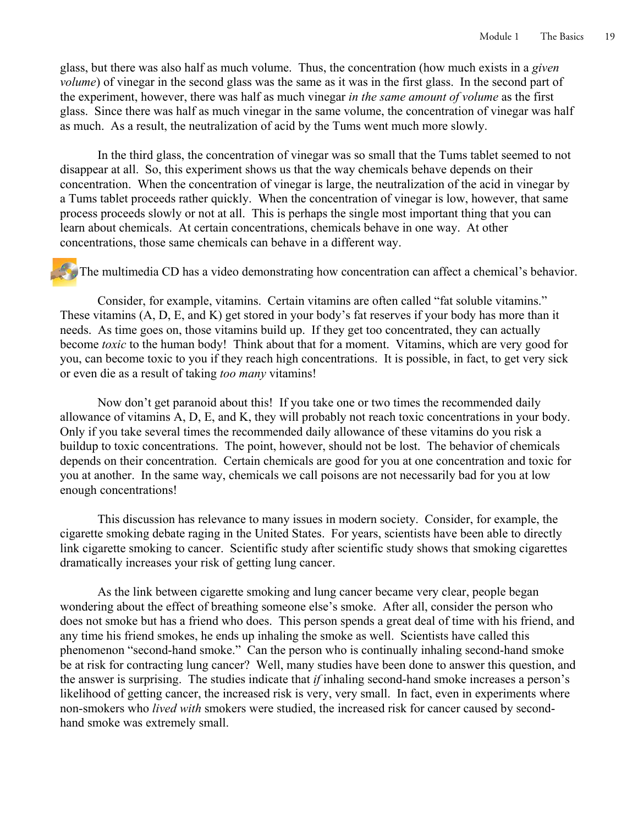glass, but there was also half as much volume. Thus, the concentration (how much exists in a *given volume*) of vinegar in the second glass was the same as it was in the first glass. In the second part of the experiment, however, there was half as much vinegar *in the same amount of volume* as the first glass. Since there was half as much vinegar in the same volume, the concentration of vinegar was half as much. As a result, the neutralization of acid by the Tums went much more slowly.

 In the third glass, the concentration of vinegar was so small that the Tums tablet seemed to not disappear at all. So, this experiment shows us that the way chemicals behave depends on their concentration. When the concentration of vinegar is large, the neutralization of the acid in vinegar by a Tums tablet proceeds rather quickly. When the concentration of vinegar is low, however, that same process proceeds slowly or not at all. This is perhaps the single most important thing that you can learn about chemicals. At certain concentrations, chemicals behave in one way. At other concentrations, those same chemicals can behave in a different way.

The multimedia CD has a video demonstrating how concentration can affect a chemical's behavior.

 Consider, for example, vitamins. Certain vitamins are often called "fat soluble vitamins." These vitamins (A, D, E, and K) get stored in your body's fat reserves if your body has more than it needs. As time goes on, those vitamins build up. If they get too concentrated, they can actually become *toxic* to the human body! Think about that for a moment. Vitamins, which are very good for you, can become toxic to you if they reach high concentrations. It is possible, in fact, to get very sick or even die as a result of taking *too many* vitamins!

 Now don't get paranoid about this! If you take one or two times the recommended daily allowance of vitamins A, D, E, and K, they will probably not reach toxic concentrations in your body. Only if you take several times the recommended daily allowance of these vitamins do you risk a buildup to toxic concentrations. The point, however, should not be lost. The behavior of chemicals depends on their concentration. Certain chemicals are good for you at one concentration and toxic for you at another. In the same way, chemicals we call poisons are not necessarily bad for you at low enough concentrations!

 This discussion has relevance to many issues in modern society. Consider, for example, the cigarette smoking debate raging in the United States. For years, scientists have been able to directly link cigarette smoking to cancer. Scientific study after scientific study shows that smoking cigarettes dramatically increases your risk of getting lung cancer.

 As the link between cigarette smoking and lung cancer became very clear, people began wondering about the effect of breathing someone else's smoke. After all, consider the person who does not smoke but has a friend who does. This person spends a great deal of time with his friend, and any time his friend smokes, he ends up inhaling the smoke as well. Scientists have called this phenomenon "second-hand smoke." Can the person who is continually inhaling second-hand smoke be at risk for contracting lung cancer? Well, many studies have been done to answer this question, and the answer is surprising. The studies indicate that *if* inhaling second-hand smoke increases a person's likelihood of getting cancer, the increased risk is very, very small. In fact, even in experiments where non-smokers who *lived with* smokers were studied, the increased risk for cancer caused by secondhand smoke was extremely small.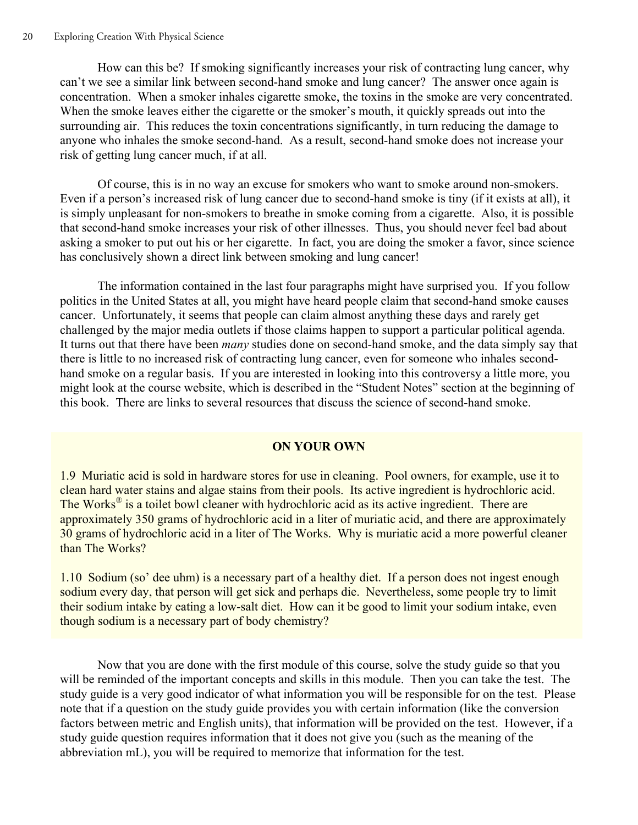How can this be? If smoking significantly increases your risk of contracting lung cancer, why can't we see a similar link between second-hand smoke and lung cancer? The answer once again is concentration. When a smoker inhales cigarette smoke, the toxins in the smoke are very concentrated. When the smoke leaves either the cigarette or the smoker's mouth, it quickly spreads out into the surrounding air. This reduces the toxin concentrations significantly, in turn reducing the damage to anyone who inhales the smoke second-hand. As a result, second-hand smoke does not increase your risk of getting lung cancer much, if at all.

 Of course, this is in no way an excuse for smokers who want to smoke around non-smokers. Even if a person's increased risk of lung cancer due to second-hand smoke is tiny (if it exists at all), it is simply unpleasant for non-smokers to breathe in smoke coming from a cigarette. Also, it is possible that second-hand smoke increases your risk of other illnesses. Thus, you should never feel bad about asking a smoker to put out his or her cigarette. In fact, you are doing the smoker a favor, since science has conclusively shown a direct link between smoking and lung cancer!

 The information contained in the last four paragraphs might have surprised you. If you follow politics in the United States at all, you might have heard people claim that second-hand smoke causes cancer. Unfortunately, it seems that people can claim almost anything these days and rarely get challenged by the major media outlets if those claims happen to support a particular political agenda. It turns out that there have been *many* studies done on second-hand smoke, and the data simply say that there is little to no increased risk of contracting lung cancer, even for someone who inhales secondhand smoke on a regular basis. If you are interested in looking into this controversy a little more, you might look at the course website, which is described in the "Student Notes" section at the beginning of this book. There are links to several resources that discuss the science of second-hand smoke.

## **ON YOUR OWN**

1.9 Muriatic acid is sold in hardware stores for use in cleaning. Pool owners, for example, use it to clean hard water stains and algae stains from their pools. Its active ingredient is hydrochloric acid. The Works<sup>®</sup> is a toilet bowl cleaner with hydrochloric acid as its active ingredient. There are approximately 350 grams of hydrochloric acid in a liter of muriatic acid, and there are approximately 30 grams of hydrochloric acid in a liter of The Works. Why is muriatic acid a more powerful cleaner than The Works?

1.10 Sodium (so' dee uhm) is a necessary part of a healthy diet. If a person does not ingest enough sodium every day, that person will get sick and perhaps die. Nevertheless, some people try to limit their sodium intake by eating a low-salt diet. How can it be good to limit your sodium intake, even though sodium is a necessary part of body chemistry?

 Now that you are done with the first module of this course, solve the study guide so that you will be reminded of the important concepts and skills in this module. Then you can take the test. The study guide is a very good indicator of what information you will be responsible for on the test. Please note that if a question on the study guide provides you with certain information (like the conversion factors between metric and English units), that information will be provided on the test. However, if a study guide question requires information that it does not give you (such as the meaning of the abbreviation mL), you will be required to memorize that information for the test.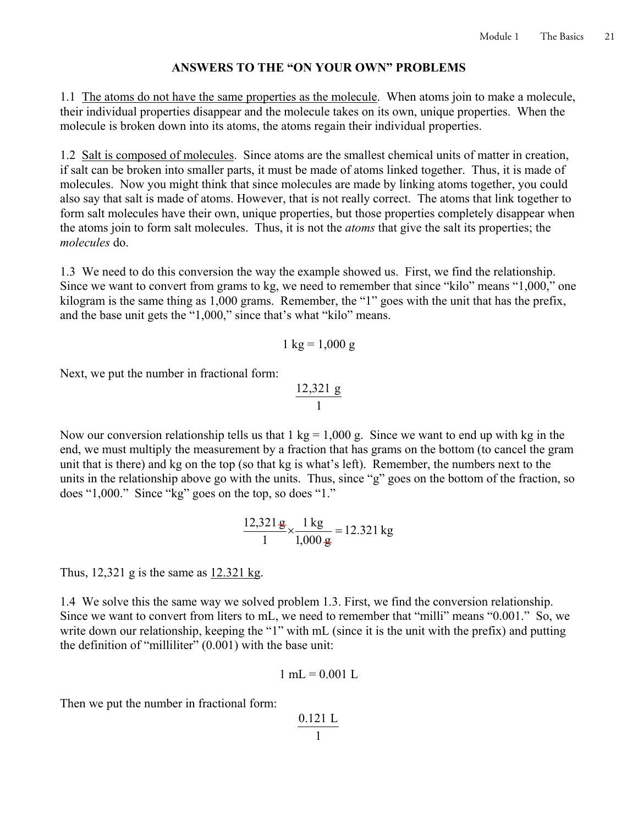#### **ANSWERS TO THE "ON YOUR OWN" PROBLEMS**

1.1 The atoms do not have the same properties as the molecule. When atoms join to make a molecule, their individual properties disappear and the molecule takes on its own, unique properties. When the molecule is broken down into its atoms, the atoms regain their individual properties.

1.2 Salt is composed of molecules. Since atoms are the smallest chemical units of matter in creation, if salt can be broken into smaller parts, it must be made of atoms linked together. Thus, it is made of molecules. Now you might think that since molecules are made by linking atoms together, you could also say that salt is made of atoms. However, that is not really correct. The atoms that link together to form salt molecules have their own, unique properties, but those properties completely disappear when the atoms join to form salt molecules. Thus, it is not the *atoms* that give the salt its properties; the *molecules* do.

1.3 We need to do this conversion the way the example showed us. First, we find the relationship. Since we want to convert from grams to kg, we need to remember that since "kilo" means "1,000," one kilogram is the same thing as 1,000 grams. Remember, the "1" goes with the unit that has the prefix, and the base unit gets the "1,000," since that's what "kilo" means.

$$
1 \text{ kg} = 1,000 \text{ g}
$$

Next, we put the number in fractional form:

$$
\frac{12,321 \text{ g}}{1}
$$

Now our conversion relationship tells us that  $1 \text{ kg} = 1,000 \text{ g}$ . Since we want to end up with kg in the end, we must multiply the measurement by a fraction that has grams on the bottom (to cancel the gram unit that is there) and kg on the top (so that kg is what's left). Remember, the numbers next to the units in the relationship above go with the units. Thus, since "g" goes on the bottom of the fraction, so does "1,000." Since "kg" goes on the top, so does "1."

$$
\frac{12,321 \,\text{g}}{1} \times \frac{1 \,\text{kg}}{1,000 \,\text{g}} = 12.321 \,\text{kg}
$$

Thus,  $12,321$  g is the same as  $12.321$  kg.

1.4 We solve this the same way we solved problem 1.3. First, we find the conversion relationship. Since we want to convert from liters to mL, we need to remember that "milli" means "0.001." So, we write down our relationship, keeping the "1" with mL (since it is the unit with the prefix) and putting the definition of "milliliter" (0.001) with the base unit:

$$
1 \text{ mL} = 0.001 \text{ L}
$$

Then we put the number in fractional form:

$$
0.121\;L
$$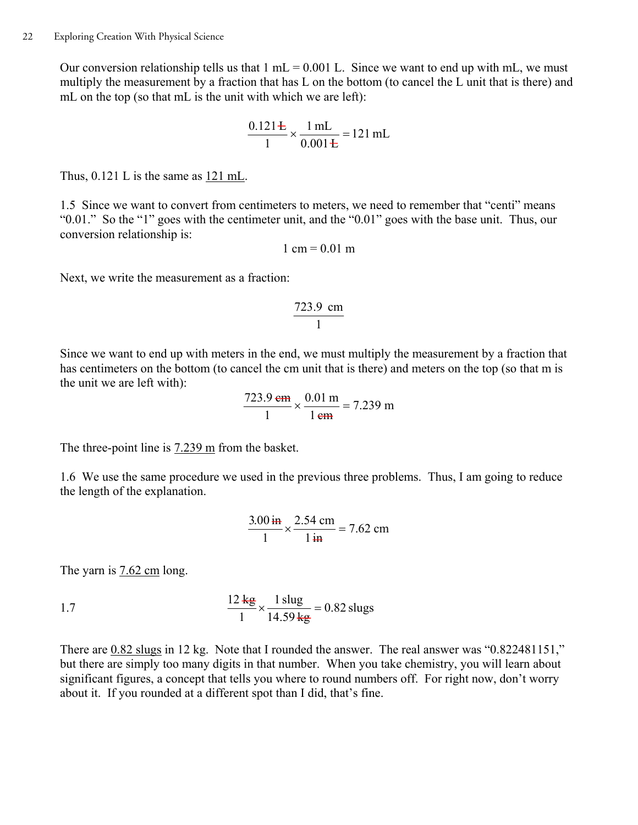Our conversion relationship tells us that  $1 \text{ mL} = 0.001 \text{ L}$ . Since we want to end up with mL, we must multiply the measurement by a fraction that has L on the bottom (to cancel the L unit that is there) and mL on the top (so that mL is the unit with which we are left):

$$
\frac{0.121 \text{ E}}{1} \times \frac{1 \text{ mL}}{0.001 \text{ E}} = 121 \text{ mL}
$$

Thus, 0.121 L is the same as 121 mL.

1.5 Since we want to convert from centimeters to meters, we need to remember that "centi" means "0.01." So the "1" goes with the centimeter unit, and the "0.01" goes with the base unit. Thus, our conversion relationship is:

 $1 cm = 0.01 m$ 

Next, we write the measurement as a fraction:

$$
\frac{723.9 \text{ cm}}{1}
$$

Since we want to end up with meters in the end, we must multiply the measurement by a fraction that has centimeters on the bottom (to cancel the cm unit that is there) and meters on the top (so that m is the unit we are left with):

$$
\frac{723.9 \text{ em}}{1} \times \frac{0.01 \text{ m}}{1 \text{ em}} = 7.239 \text{ m}
$$

The three-point line is 7.239 m from the basket.

1.6 We use the same procedure we used in the previous three problems. Thus, I am going to reduce the length of the explanation.

$$
\frac{3.00 \text{ in}}{1} \times \frac{2.54 \text{ cm}}{1 \text{ in}} = 7.62 \text{ cm}
$$

The yarn is 7.62 cm long.

1.7 
$$
\frac{12 \text{ kg}}{1} \times \frac{1 \text{ slug}}{14.59 \text{ kg}} = 0.82 \text{ slugs}
$$

There are 0.82 slugs in 12 kg. Note that I rounded the answer. The real answer was "0.822481151," but there are simply too many digits in that number. When you take chemistry, you will learn about significant figures, a concept that tells you where to round numbers off. For right now, don't worry about it. If you rounded at a different spot than I did, that's fine.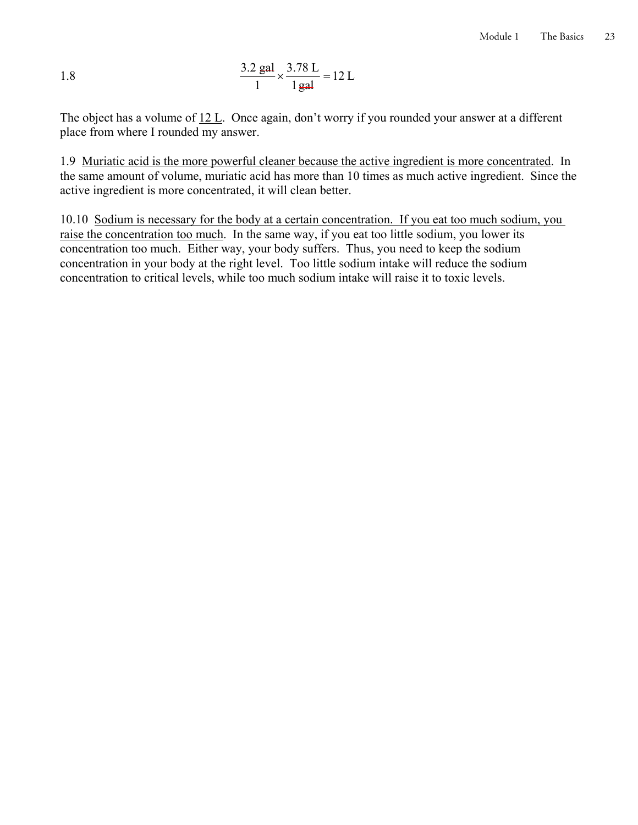1.8 
$$
\frac{3.2 \text{ gal}}{1} \times \frac{3.78 \text{ L}}{1 \text{ gal}} = 12 \text{ L}
$$

The object has a volume of <u>12 L</u>. Once again, don't worry if you rounded your answer at a different place from where I rounded my answer.

1.9 Muriatic acid is the more powerful cleaner because the active ingredient is more concentrated. In the same amount of volume, muriatic acid has more than 10 times as much active ingredient. Since the active ingredient is more concentrated, it will clean better.

10.10 Sodium is necessary for the body at a certain concentration. If you eat too much sodium, you raise the concentration too much. In the same way, if you eat too little sodium, you lower its concentration too much. Either way, your body suffers. Thus, you need to keep the sodium concentration in your body at the right level. Too little sodium intake will reduce the sodium concentration to critical levels, while too much sodium intake will raise it to toxic levels.